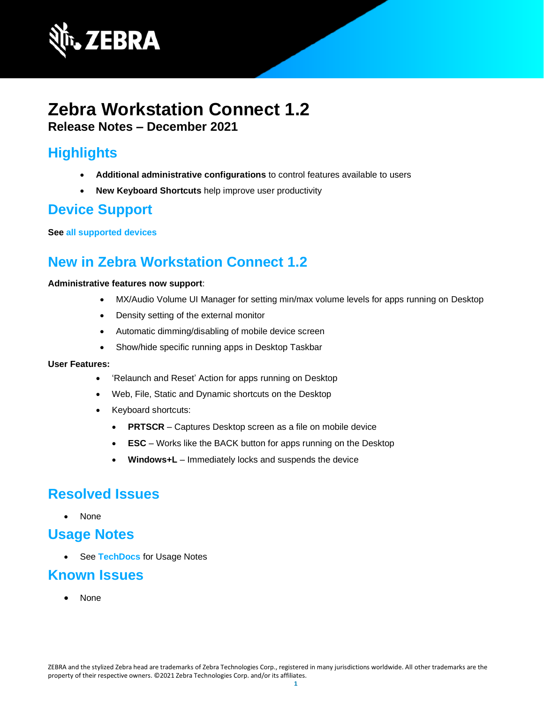

## **Zebra Workstation Connect 1.2 Release Notes – December 2021**

# **Highlights**

- **Additional administrative configurations** to control features available to users
- **New Keyboard Shortcuts** help improve user productivity

## **Device Support**

**See [all supported devices](https://www.zebra.com/us/en/support-downloads/software/productivity-apps/workstation-connect.html)**

# **New in Zebra Workstation Connect 1.2**

#### **Administrative features now support**:

- MX/Audio Volume UI Manager for setting min/max volume levels for apps running on Desktop
- Density setting of the external monitor
- Automatic dimming/disabling of mobile device screen
- Show/hide specific running apps in Desktop Taskbar

#### **User Features:**

- 'Relaunch and Reset' Action for apps running on Desktop
- Web, File, Static and Dynamic shortcuts on the Desktop
- Keyboard shortcuts:
	- **PRTSCR** Captures Desktop screen as a file on mobile device
	- **ESC** Works like the BACK button for apps running on the Desktop
	- **Windows+L** Immediately locks and suspends the device

### **Resolved Issues**

• None

## **Usage Notes**

• See **[TechDocs](https://techdocs.zebra.com/zwc/1-2/about/)** for Usage Notes

### **Known Issues**

• None